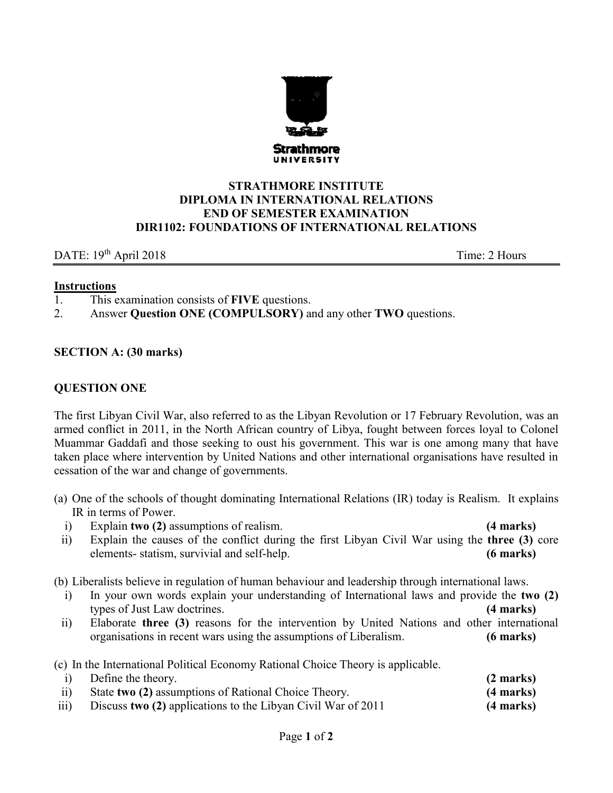

## **STRATHMORE INSTITUTE DIPLOMA IN INTERNATIONAL RELATIONS END OF SEMESTER EXAMINATION DIR1102: FOUNDATIONS OF INTERNATIONAL RELATIONS**

## DATE: 19<sup>th</sup> April 2018 Time: 2 Hours

#### **Instructions**

- 1. This examination consists of **FIVE** questions.
- 2. Answer **Question ONE (COMPULSORY)** and any other **TWO** questions.

## **SECTION A: (30 marks)**

## **QUESTION ONE**

The first Libyan Civil War, also referred to as the Libyan Revolution or 17 February Revolution, was an armed conflict in 2011, in the North African country of [Libya,](https://en.wikipedia.org/wiki/Libya) fought between forces loyal to Colonel [Muammar Gaddafi](https://en.wikipedia.org/wiki/Muammar_Gaddafi) and those seeking to oust [his government.](https://en.wikipedia.org/wiki/Libyan_Arab_Jamahiriya) This war is one among many that have taken place where intervention by United Nations and other international organisations have resulted in cessation of the war and change of governments.

- (a) One of the schools of thought dominating International Relations (IR) today is Realism. It explains IR in terms of Power.
	- i) Explain **two (2)** assumptions of realism. **(4 marks)**

ii) Explain the causes of the conflict during the first Libyan Civil War using the **three (3)** core elements- statism, survivial and self-help. **(6 marks)**

(b) Liberalists believe in regulation of human behaviour and leadership through international laws.

- i) In your own words explain your understanding of International laws and provide the **two (2)** types of Just Law doctrines. **(4 marks)**
- ii) Elaborate **three (3)** reasons for the intervention by United Nations and other international organisations in recent wars using the assumptions of Liberalism. **(6 marks)**

(c) In the International Political Economy Rational Choice Theory is applicable.

|                  | Define the theory.                                           | $(2 \text{ marks})$ |
|------------------|--------------------------------------------------------------|---------------------|
| $\overline{ii}$  | State two (2) assumptions of Rational Choice Theory.         | $(4$ marks)         |
| $\overline{111}$ | Discuss two (2) applications to the Libyan Civil War of 2011 | $(4$ marks)         |